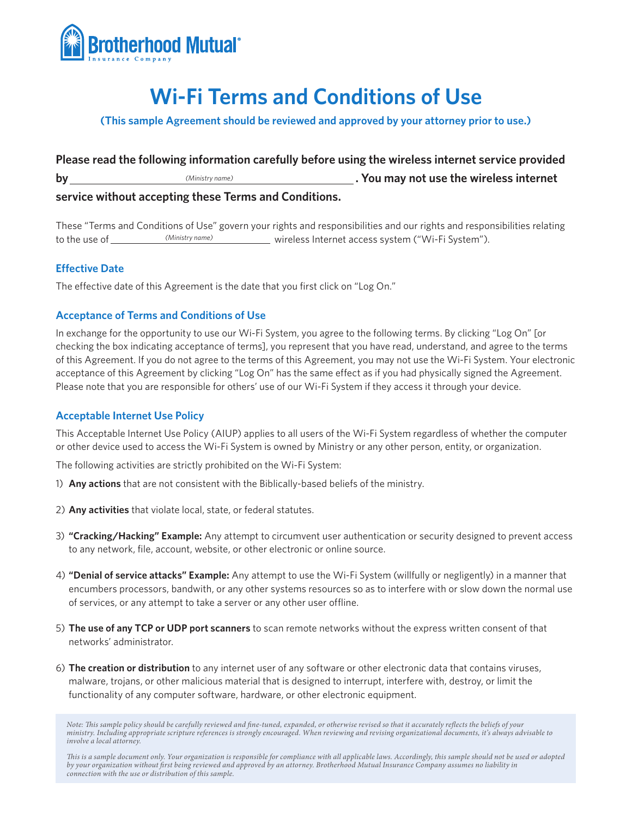

# **Wi-Fi Terms and Conditions of Use**

**(This sample Agreement should be reviewed and approved by your attorney prior to use.)**

**Please read the following information carefully before using the wireless internet service provided by . You may not use the wireless internet**  *(Ministry name)***service without accepting these Terms and Conditions.**

These "Terms and Conditions of Use" govern your rights and responsibilities and our rights and responsibilities relating wireless Internet access system ("Wi-Fi System"). *(Ministry name)*

## **Effective Date**

The effective date of this Agreement is the date that you first click on "Log On."

## **Acceptance of Terms and Conditions of Use**

In exchange for the opportunity to use our Wi-Fi System, you agree to the following terms. By clicking "Log On" [or checking the box indicating acceptance of terms], you represent that you have read, understand, and agree to the terms of this Agreement. If you do not agree to the terms of this Agreement, you may not use the Wi-Fi System. Your electronic acceptance of this Agreement by clicking "Log On" has the same effect as if you had physically signed the Agreement. Please note that you are responsible for others' use of our Wi-Fi System if they access it through your device.

## **Acceptable Internet Use Policy**

This Acceptable Internet Use Policy (AIUP) applies to all users of the Wi-Fi System regardless of whether the computer or other device used to access the Wi-Fi System is owned by Ministry or any other person, entity, or organization.

The following activities are strictly prohibited on the Wi-Fi System:

- 1) **Any actions** that are not consistent with the Biblically-based beliefs of the ministry.
- 2) **Any activities** that violate local, state, or federal statutes.
- 3) **"Cracking/Hacking" Example:** Any attempt to circumvent user authentication or security designed to prevent access to any network, file, account, website, or other electronic or online source.
- 4) **"Denial of service attacks" Example:** Any attempt to use the Wi-Fi System (willfully or negligently) in a manner that encumbers processors, bandwith, or any other systems resources so as to interfere with or slow down the normal use of services, or any attempt to take a server or any other user offline.
- 5) **The use of any TCP or UDP port scanners** to scan remote networks without the express written consent of that networks' administrator.
- 6) **The creation or distribution** to any internet user of any software or other electronic data that contains viruses, malware, trojans, or other malicious material that is designed to interrupt, interfere with, destroy, or limit the functionality of any computer software, hardware, or other electronic equipment.

*Note: This sample policy should be carefully reviewed and fine-tuned, expanded, or otherwise revised so that it accurately reflects the beliefs of your ministry. Including appropriate scripture references is strongly encouraged. When reviewing and revising organizational documents, it's always advisable to involve a local attorney.* 

M 269 (11/12) *connection with the use or distribution of this sample. This is a sample document only. Your organization is responsible for compliance with all applicable laws. Accordingly, this sample should not be used or adopted by your organization without first being reviewed and approved by an attorney. Brotherhood Mutual Insurance Company assumes no liability in*